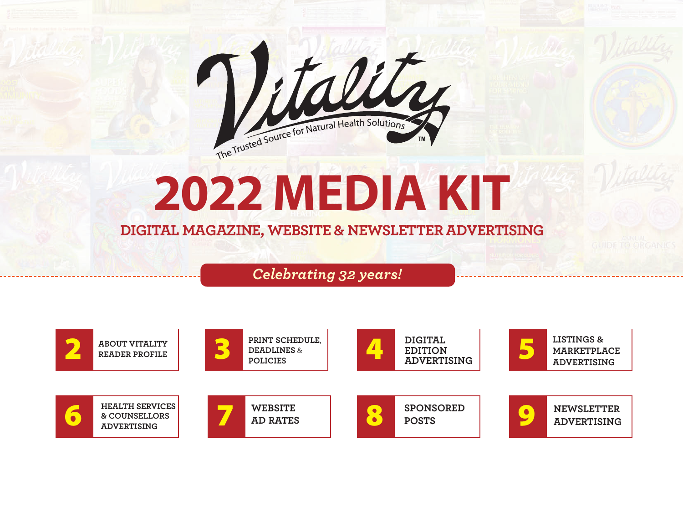

# **2022 Media KiT**

### **DIGITAL MAGAZINE, WEBSITE & NEWSLETTER ADVERTISING**

*Celebrating 32 years!*

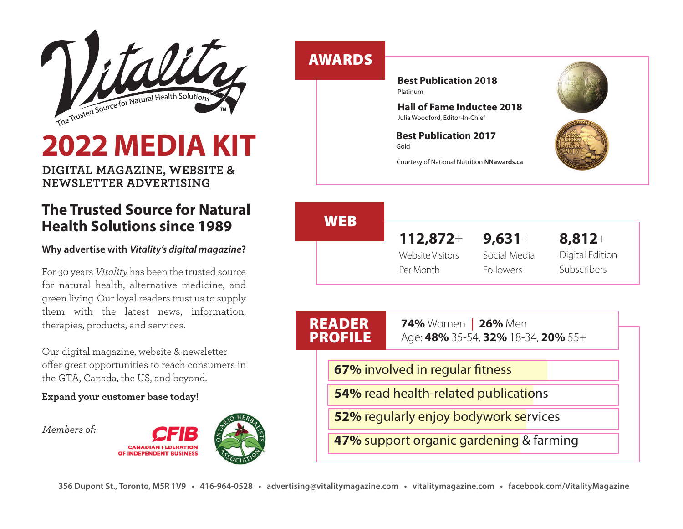

## **2022 Media KiT**

**DIGITAL MAGAZINE, WEBSITE & NEWSLETTER ADVERTISING**

### **The Trusted Source for Natural Health Solutions since 1989**

### **Why advertise with** *Vitality's digital magazine***?**

For 30 years *Vitality* has been the trusted source for natural health, alternative medicine, and green living. Our loyal readers trust us to supply them with the latest news, information, therapies, products, and services.

Our digital magazine, website & newsletter offer great opportunities to reach consumers in the GTA, Canada, the US, and beyond.

### **Expand your customer base today!**

*Members of:*



### **AWARDS**

**Best Publication 2018**  Platinum

**Hall of Fame inductee 2018** Julia Woodford, Editor-In-Chief

**Best Publication 2017**  Gold



Courtesy of National Nutrition **NNawards.ca**

### **8,812**+ Digital Edition Subscribers **WEB 112,872**+ Website Visitors Per Month **9,631**+ Social Media Followers

| <b>READER</b> |                                                                                             | <b>74%</b> Women   26% Men              |  |
|---------------|---------------------------------------------------------------------------------------------|-----------------------------------------|--|
|               | <b>PROFILE</b>                                                                              | Age: 48% 35-54, 32% 18-34, 20% 55+      |  |
|               |                                                                                             | 67% involved in regular fitness         |  |
|               | <b>54%</b> read health-related publications<br><b>52% regularly enjoy bodywork services</b> |                                         |  |
|               |                                                                                             |                                         |  |
|               |                                                                                             | 47% support organic gardening & farming |  |
|               |                                                                                             |                                         |  |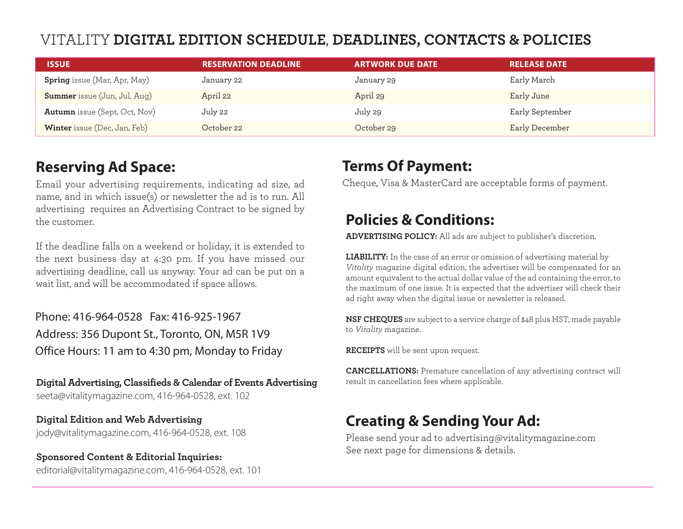### VITALITY **DIGITAL EDITION SCHEDULE**, **DEADLINES, CONTACTS & POLICIES**

| <b>ISSUE</b>                         | <b>RESERVATION DEADLINE</b> | <b>ARTWORK DUE DATE</b> | <b>RELEASE DATE</b> |
|--------------------------------------|-----------------------------|-------------------------|---------------------|
| <b>Spring</b> issue (Mar, Apr, May)  | January 22                  | January 29              | Early March         |
| <b>Summer</b> issue (Jun, Jul. Aug)  | April 22                    | April 29                | Early June          |
| <b>Autumn</b> issue (Sept, Oct, Nov) | July 22                     | July 29                 | Early September     |
| <b>Winter</b> issue (Dec, Jan, Feb)  | October 22                  | October 29              | Early December      |

### **Reserving ad Space:**

Email your advertising requirements, indicating ad size, ad name, and in which issue(s) or newsletter the ad is to run. All advertising requires an Advertising Contract to be signed by the customer.

If the deadline falls on a weekend or holiday, it is extended to the next business day at 4:30 pm. If you have missed our advertising deadline, call us anyway. Your ad can be put on a wait list, and will be accommodated if space allows.

Phone: 416-964-0528 Fax: 416-925-1967 Address: 356 Dupont St., Toronto, ON, M5R 1V9 Office Hours: 11 am to 4:30 pm, Monday to Friday

**Digital Advertising, Classifieds & Calendar of Events Advertising** seeta@vitalitymagazine.com, 416-964-0528, ext. 102

**Digital Edition and Web Advertising**  jody@vitalitymagazine.com, 416-964-0528, ext. 108

**Sponsored Content & Editorial Inquiries:** editorial@vitalitymagazine.com, 416-964-0528, ext. 101

### **Terms Of Payment:**

Cheque, Visa & MasterCard are acceptable forms of payment.

### **Policies & Conditions:**

**ADVERTISING POLICY:** All ads are subject to publisher's discretion.

**LIABILITY:** In the case of an error or omission of advertising material by *Vitality* magazine digital edition, the advertiser will be compensated for an amount equivalent to the actual dollar value of the ad containing the error, to the maximum of one issue. It is expected that the advertiser will check their ad right away when the digital issue or newsletter is released.

**NSF CHEQUES** are subject to a service charge of \$48 plus HST, made payable to *Vitality* magazine.

**RECEIPTS** will be sent upon request.

**CANCELLATIONS:** Premature cancellation of any advertising contract will result in cancellation fees where applicable.

### **Creating & Sending Your Ad:**

Please send your ad to advertising@vitalitymagazine.com See next page for dimensions & details.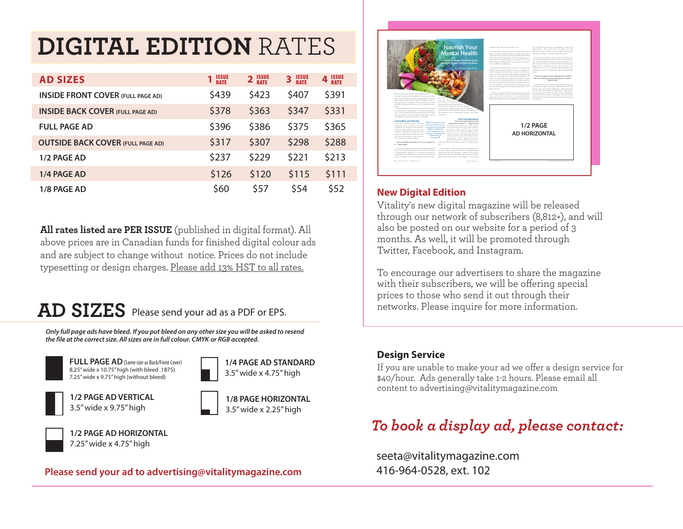## **DIGITAL EDITION** RATES

| <b>AD SIZES</b>                          | 1 ISSUE | 2 ISSUE | <b>ISSUE</b><br>RATE<br>3 | 4 ISSUE |
|------------------------------------------|---------|---------|---------------------------|---------|
| <b>INSIDE FRONT COVER (FULL PAGE AD)</b> | \$439   | \$423   | \$407                     | \$391   |
| <b>INSIDE BACK COVER (FULL PAGE AD)</b>  | \$378   | \$363   | \$347                     | \$331   |
| <b>FULL PAGE AD</b>                      | \$396   | \$386   | \$375                     | \$365   |
| <b>OUTSIDE BACK COVER (FULL PAGE AD)</b> | \$317   | \$307   | \$298                     | \$288   |
| 1/2 PAGE AD                              | \$237   | \$229   | \$221                     | \$213   |
| 1/4 PAGE AD                              | \$126   | \$120   | \$115                     | \$111   |
| 1/8 PAGE AD                              | \$60    | \$57    | \$54                      | \$52    |

**All rates listed are PER ISSUE** (published in digital format). All above prices are in Canadian funds for finished digital colour ads and are subject to change without notice. Prices do not include typesetting or design charges. Please add 13% HST to all rates.

### **AD SIZES** Please send your ad as a PDF or EPS.

*Only full page ads have bleed. If you put bleed on any other size you will be asked to resend the file at the correct size. All sizes are in full colour. CMYK or RGB accepted.*

3.5" wide x 4.75" high

**1/8 PAGE HORIZONTAL** 3.5" wide x 2.25" high



8.25" wide x 10.75" high (with bleed .1875) 7.25" wide x 9.75" high (without bleed) **FULL PAGE AD**(Same size as Back/Front Cover) **1/4 PAGE AD STANDARD**



**1/2 PAGE AD VERTICAL** 3.5" wide x 9.75" high





**1/2 PAGE AD HORIZONTAL** 7.25" wide x 4.75" high

### **Please send your ad to advertising@vitalitymagazine.com**



### **New Digital Edition**

Vitality's new digital magazine will be released through our network of subscribers (8,812+), and will also be posted on our website for a period of 3 months. As well, it will be promoted through Twitter, Facebook, and Instagram.

To encourage our advertisers to share the magazine with their subscribers, we will be offering special prices to those who send it out through their networks. Please inquire for more information.

### **Design Service**

If you are unable to make your ad we offer a design service for \$40/hour. Ads generally take 1-2 hours. Please email all content to advertising@vitalitymagazine.com

### *To book a display ad, please contact:*

seeta@vitalitymagazine.com 416-964-0528, ext. 102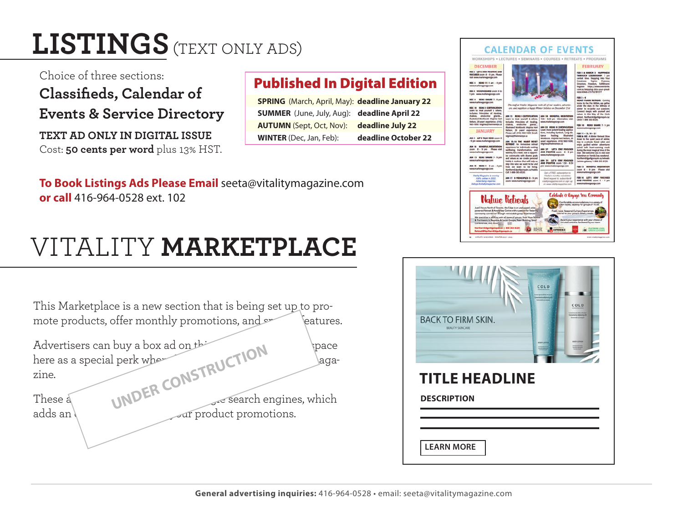## **LISTINGS**(TExT ONlY ADS)

Choice of three sections:

**Classifieds, Calendar of Events & Service Directory**

**TEXT AD ONLY IN DIGITAL ISSUE** Cost: **50 cents per word** plus 13% HST.

### **Published In Digital Edition**

| <b>SPRING</b> (March, April, May): deadline January 22 |                     |
|--------------------------------------------------------|---------------------|
| <b>SUMMER</b> (June, July, Aug): deadline April 22     |                     |
| <b>AUTUMN</b> (Sept, Oct, Nov):                        | deadline July 22    |
| <b>WINTER</b> (Dec, Jan, Feb):                         | deadline October 22 |

**To Book listings ads Please email** seeta@vitalitymagazine.com **or call** 416-964-0528 ext. 102

## VITAlITY **MARKETPLACE**

| This Marketplace is a new section that is being set up to pro-<br>mote products, offer monthly promotions, and<br>eatures. | <b>BACK TO FIRM</b> |
|----------------------------------------------------------------------------------------------------------------------------|---------------------|
| Advertisers can buy a box ad on the<br><i>space</i>                                                                        |                     |
| here as a special perk who<br>\aga-                                                                                        |                     |
| UNDER CONSTRUCTION<br>zine.                                                                                                | <b>TITLE H</b>      |
| esearch engines, which<br>These a                                                                                          | <b>DESCRIPTION</b>  |
| adds an <b>b</b><br>ar product promotions.                                                                                 |                     |
|                                                                                                                            |                     |
|                                                                                                                            | <b>LEARN MORE</b>   |



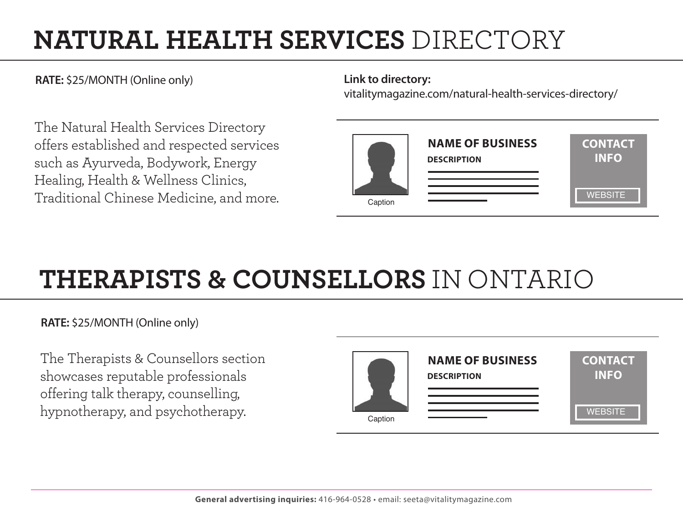## **NATURAL HEALTH SERVICES** DIRECTORY

**RATE:** \$25/MONTH (Online only) **Link to directory:** 

The Natural Health Services Directory offers established and respected services such as Ayurveda, Bodywork, Energy Healing, Health & Wellness Clinics, Traditional Chinese Medicine, and more.

vitalitymagazine.com/natural-health-services-directory/



## **THERAPISTS & COUNSELLORS** IN ONTARIO

**RATE:** \$25/MONTH (Online only)

The Therapists & Counsellors section showcases reputable professionals offering talk therapy, counselling, hypnotherapy, and psychotherapy.

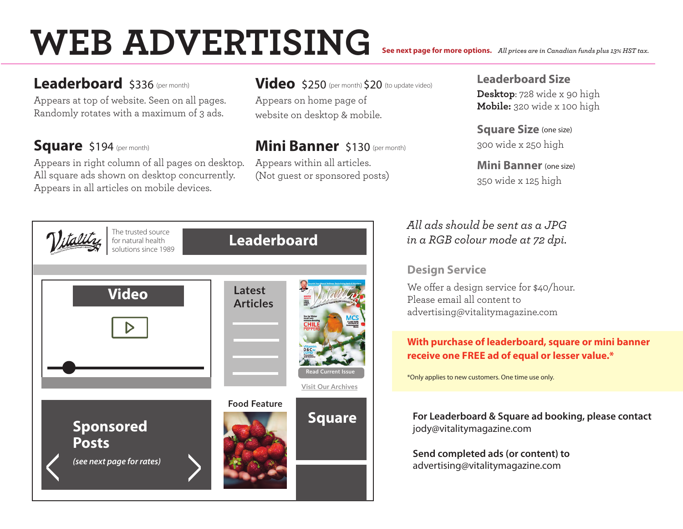# **WEB ADVERTISING**

Leaderboard \$336 (per month)

Appears at top of website. Seen on all pages. Randomly rotates with a maximum of 3 ads.

### Square \$194 (per month)

Appears in right column of all pages on desktop. All square ads shown on desktop concurrently. Appears in all articles on mobile devices.

### Video \$250 (per month) \$20 (to update video)

Appears on home page of website on desktop & mobile.

### **Mini Banner** \$130 (per month)

Appears within all articles. (Not guest or sponsored posts)

### **leaderboard Size**

**See next page for more options.** *All prices are in Canadian funds plus 13% HST tax.*

**Desktop**: 728 wide x 90 high **Mobile:** 320 wide x 100 high

**Square Size** (one size) 300 wide x 250 high

**Mini Banner** (one size) 350 wide x 125 high

### *All ads should be sent as a JPG in a RGB colour mode at 72 dpi.*

### **Design Service**

We offer a design service for \$40/hour. Please email all content to advertising@vitalitymagazine.com

### **With purchase of leaderboard, square or mini banner** receive one FREE ad of equal or lesser value.\*

\*Only applies to new customers. One time use only.

**For Leaderboard & Square ad booking, please contact** jody@vitalitymagazine.com

**Send completed ads (or content) to**  advertising@vitalitymagazine.com

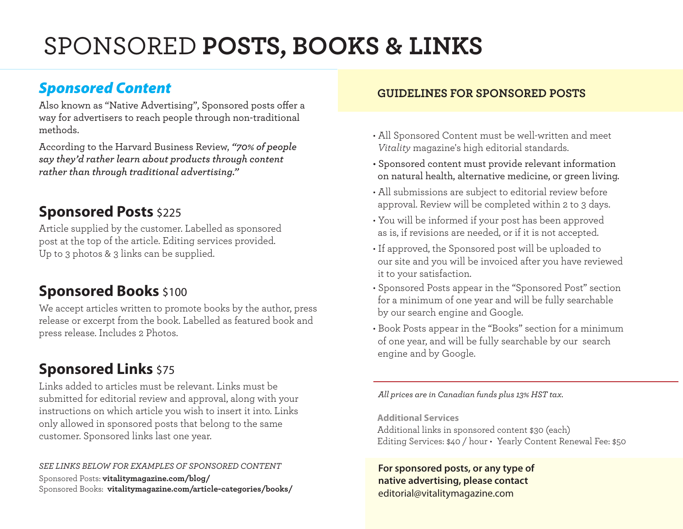## SpONSORED **POSTS, BOOKS & LINKS**

Also known as "Native Advertising", Sponsored posts offer a way for advertisers to reach people through non-traditional methods.

According to the Harvard Business Review, *"70% of people say they'd rather learn about products through content rather than through traditional advertising."* 

### **Sponsored Posts** \$225

Article supplied by the customer. labelled as sponsored post at the top of the article. Editing services provided. Up to 3 photos & 3 links can be supplied.

### **Sponsored Books** \$100

We accept articles written to promote books by the author, press release or excerpt from the book. labelled as featured book and press release. Includes 2 Photos.

### **Sponsored Links \$75**

links added to articles must be relevant. links must be submitted for editorial review and approval, along with your instructions on which article you wish to insert it into. Links only allowed in sponsored posts that belong to the same customer. Sponsored links last one year.

### *SEE LINKS BELOW FOR EXAMPLES OF SPONSORED CONTENT*

Sponsored Posts: **vitalitymagazine.com/blog/** Sponsored Books: **vitalitymagazine.com/article-categories/books/** 

### **Sponsored Content GUIDELINES FOR SPONSORED POSTS**

- All Sponsored Content must be well-written and meet *Vitality* magazine's high editorial standards.
- Sponsored content must provide relevant information on natural health, alternative medicine, or green living.
- All submissions are subject to editorial review before approval. Review will be completed within 2 to 3 days.
- You will be informed if your post has been approved as is, if revisions are needed, or if it is not accepted.
- If approved, the Sponsored post will be uploaded to our site and you will be invoiced after you have reviewed it to your satisfaction.
- Sponsored Posts appear in the "Sponsored Post" section for a minimum of one year and will be fully searchable by our search engine and Google.
- Book Posts appear in the "Books" section for a minimum of one year, and will be fully searchable by our search engine and by Google.

*All prices are in Canadian funds plus 13% HST tax.*

**additional Services**

Additional links in sponsored content \$30 (each) Editing Services: \$40 / hour • Yearly Content Renewal Fee: \$50

**For sponsored posts, or any type of native advertising, please contact**  editorial@vitalitymagazine.com